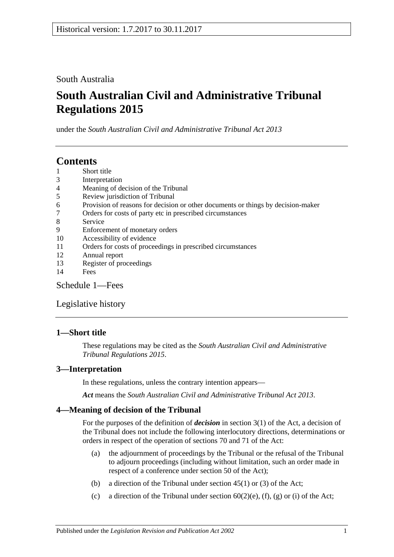## South Australia

# **South Australian Civil and Administrative Tribunal Regulations 2015**

under the *South Australian Civil and Administrative Tribunal Act 2013*

## **Contents**

- 1 [Short title](#page-0-0)
- 3 [Interpretation](#page-0-1)
- 4 [Meaning of decision of the Tribunal](#page-0-2)
- 5 [Review jurisdiction of Tribunal](#page-1-0)
- 6 [Provision of reasons for decision or other documents or things by decision-maker](#page-2-0)
- 7 [Orders for costs of party etc in prescribed circumstances](#page-2-1)
- 8 [Service](#page-2-2)
- 9 [Enforcement of monetary orders](#page-3-0)
- 10 [Accessibility of evidence](#page-3-1)
- 11 [Orders for costs of proceedings in prescribed circumstances](#page-4-0)
- 12 [Annual report](#page-4-1)
- 13 [Register of proceedings](#page-4-2)
- 14 [Fees](#page-5-0)

[Schedule](#page-7-0) 1—Fees

[Legislative history](#page-9-0)

## <span id="page-0-0"></span>**1—Short title**

These regulations may be cited as the *South Australian Civil and Administrative Tribunal Regulations 2015*.

## <span id="page-0-1"></span>**3—Interpretation**

In these regulations, unless the contrary intention appears—

*Act* means the *[South Australian Civil and Administrative Tribunal Act](http://www.legislation.sa.gov.au/index.aspx?action=legref&type=act&legtitle=South%20Australian%20Civil%20and%20Administrative%20Tribunal%20Act%202013) 2013*.

## <span id="page-0-2"></span>**4—Meaning of decision of the Tribunal**

For the purposes of the definition of *decision* in section 3(1) of the Act, a decision of the Tribunal does not include the following interlocutory directions, determinations or orders in respect of the operation of sections 70 and 71 of the Act:

- (a) the adjournment of proceedings by the Tribunal or the refusal of the Tribunal to adjourn proceedings (including without limitation, such an order made in respect of a conference under section 50 of the Act);
- (b) a direction of the Tribunal under section  $45(1)$  or (3) of the Act;
- (c) a direction of the Tribunal under section  $60(2)(e)$ ,  $(f)$ ,  $(g)$  or  $(i)$  of the Act;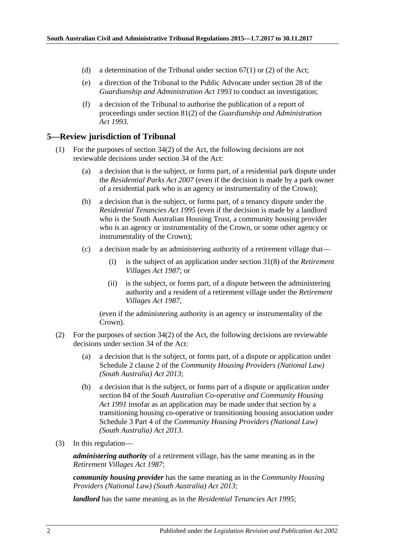- (d) a determination of the Tribunal under section  $67(1)$  or (2) of the Act;
- (e) a direction of the Tribunal to the Public Advocate under section 28 of the *[Guardianship and Administration Act](http://www.legislation.sa.gov.au/index.aspx?action=legref&type=act&legtitle=Guardianship%20and%20Administration%20Act%201993) 1993* to conduct an investigation;
- (f) a decision of the Tribunal to authorise the publication of a report of proceedings under section 81(2) of the *[Guardianship and Administration](http://www.legislation.sa.gov.au/index.aspx?action=legref&type=act&legtitle=Guardianship%20and%20Administration%20Act%201993)  Act [1993](http://www.legislation.sa.gov.au/index.aspx?action=legref&type=act&legtitle=Guardianship%20and%20Administration%20Act%201993)*.

#### <span id="page-1-0"></span>**5—Review jurisdiction of Tribunal**

- (1) For the purposes of section 34(2) of the Act, the following decisions are not reviewable decisions under section 34 of the Act:
	- (a) a decision that is the subject, or forms part, of a residential park dispute under the *[Residential Parks Act](http://www.legislation.sa.gov.au/index.aspx?action=legref&type=act&legtitle=Residential%20Parks%20Act%202007) 2007* (even if the decision is made by a park owner of a residential park who is an agency or instrumentality of the Crown);
	- (b) a decision that is the subject, or forms part, of a tenancy dispute under the *[Residential Tenancies Act](http://www.legislation.sa.gov.au/index.aspx?action=legref&type=act&legtitle=Residential%20Tenancies%20Act%201995) 1995* (even if the decision is made by a landlord who is the South Australian Housing Trust, a community housing provider who is an agency or instrumentality of the Crown, or some other agency or instrumentality of the Crown);
	- (c) a decision made by an administering authority of a retirement village that—
		- (i) is the subject of an application under section 31(8) of the *[Retirement](http://www.legislation.sa.gov.au/index.aspx?action=legref&type=act&legtitle=Retirement%20Villages%20Act%201987)  [Villages Act](http://www.legislation.sa.gov.au/index.aspx?action=legref&type=act&legtitle=Retirement%20Villages%20Act%201987) 1987*; or
		- (ii) is the subject, or forms part, of a dispute between the administering authority and a resident of a retirement village under the *[Retirement](http://www.legislation.sa.gov.au/index.aspx?action=legref&type=act&legtitle=Retirement%20Villages%20Act%201987)  [Villages Act](http://www.legislation.sa.gov.au/index.aspx?action=legref&type=act&legtitle=Retirement%20Villages%20Act%201987) 1987*,

(even if the administering authority is an agency or instrumentality of the Crown).

- (2) For the purposes of section  $34(2)$  of the Act, the following decisions are reviewable decisions under section 34 of the Act:
	- (a) a decision that is the subject, or forms part, of a dispute or application under Schedule 2 clause 2 of the *[Community Housing Providers \(National Law\)](http://www.legislation.sa.gov.au/index.aspx?action=legref&type=act&legtitle=Community%20Housing%20Providers%20(National%20Law)%20(South%20Australia)%20Act%202013)  [\(South Australia\) Act](http://www.legislation.sa.gov.au/index.aspx?action=legref&type=act&legtitle=Community%20Housing%20Providers%20(National%20Law)%20(South%20Australia)%20Act%202013) 2013*;
	- (b) a decision that is the subject, or forms part of a dispute or application under section 84 of the *[South Australian Co-operative and Community Housing](http://www.legislation.sa.gov.au/index.aspx?action=legref&type=act&legtitle=South%20Australian%20Co-operative%20and%20Community%20Housing%20Act%201991)  Act [1991](http://www.legislation.sa.gov.au/index.aspx?action=legref&type=act&legtitle=South%20Australian%20Co-operative%20and%20Community%20Housing%20Act%201991)* insofar as an application may be made under that section by a transitioning housing co-operative or transitioning housing association under Schedule 3 Part 4 of the *[Community Housing Providers \(National Law\)](http://www.legislation.sa.gov.au/index.aspx?action=legref&type=act&legtitle=Community%20Housing%20Providers%20(National%20Law)%20(South%20Australia)%20Act%202013)  [\(South Australia\) Act](http://www.legislation.sa.gov.au/index.aspx?action=legref&type=act&legtitle=Community%20Housing%20Providers%20(National%20Law)%20(South%20Australia)%20Act%202013) 2013*.
- (3) In this regulation—

*administering authority* of a retirement village, has the same meaning as in the *[Retirement Villages Act](http://www.legislation.sa.gov.au/index.aspx?action=legref&type=act&legtitle=Retirement%20Villages%20Act%201987) 1987*;

*community housing provider* has the same meaning as in the *[Community Housing](http://www.legislation.sa.gov.au/index.aspx?action=legref&type=act&legtitle=Community%20Housing%20Providers%20(National%20Law)%20(South%20Australia)%20Act%202013)  [Providers \(National Law\) \(South Australia\) Act](http://www.legislation.sa.gov.au/index.aspx?action=legref&type=act&legtitle=Community%20Housing%20Providers%20(National%20Law)%20(South%20Australia)%20Act%202013) 2013*;

*landlord* has the same meaning as in the *[Residential Tenancies Act](http://www.legislation.sa.gov.au/index.aspx?action=legref&type=act&legtitle=Residential%20Tenancies%20Act%201995) 1995*;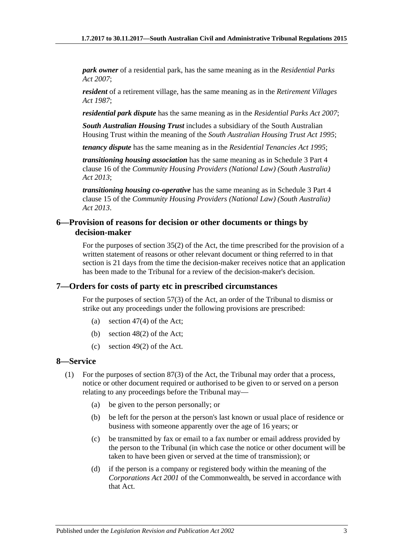*park owner* of a residential park, has the same meaning as in the *[Residential Parks](http://www.legislation.sa.gov.au/index.aspx?action=legref&type=act&legtitle=Residential%20Parks%20Act%202007)  Act [2007](http://www.legislation.sa.gov.au/index.aspx?action=legref&type=act&legtitle=Residential%20Parks%20Act%202007)*;

*resident* of a retirement village, has the same meaning as in the *[Retirement Villages](http://www.legislation.sa.gov.au/index.aspx?action=legref&type=act&legtitle=Retirement%20Villages%20Act%201987)  Act [1987](http://www.legislation.sa.gov.au/index.aspx?action=legref&type=act&legtitle=Retirement%20Villages%20Act%201987)*;

*residential park dispute* has the same meaning as in the *[Residential Parks Act](http://www.legislation.sa.gov.au/index.aspx?action=legref&type=act&legtitle=Residential%20Parks%20Act%202007) 2007*;

*South Australian Housing Trust* includes a subsidiary of the South Australian Housing Trust within the meaning of the *[South Australian Housing Trust Act](http://www.legislation.sa.gov.au/index.aspx?action=legref&type=act&legtitle=South%20Australian%20Housing%20Trust%20Act%201995) 1995*;

*tenancy dispute* has the same meaning as in the *[Residential Tenancies Act](http://www.legislation.sa.gov.au/index.aspx?action=legref&type=act&legtitle=Residential%20Tenancies%20Act%201995) 1995*;

*transitioning housing association* has the same meaning as in Schedule 3 Part 4 clause 16 of the *[Community Housing Providers \(National Law\) \(South Australia\)](http://www.legislation.sa.gov.au/index.aspx?action=legref&type=act&legtitle=Community%20Housing%20Providers%20(National%20Law)%20(South%20Australia)%20Act%202013)  Act [2013](http://www.legislation.sa.gov.au/index.aspx?action=legref&type=act&legtitle=Community%20Housing%20Providers%20(National%20Law)%20(South%20Australia)%20Act%202013)*;

*transitioning housing co-operative* has the same meaning as in Schedule 3 Part 4 clause 15 of the *[Community Housing Providers \(National Law\) \(South Australia\)](http://www.legislation.sa.gov.au/index.aspx?action=legref&type=act&legtitle=Community%20Housing%20Providers%20(National%20Law)%20(South%20Australia)%20Act%202013)  Act [2013](http://www.legislation.sa.gov.au/index.aspx?action=legref&type=act&legtitle=Community%20Housing%20Providers%20(National%20Law)%20(South%20Australia)%20Act%202013)*.

#### <span id="page-2-0"></span>**6—Provision of reasons for decision or other documents or things by decision-maker**

For the purposes of section 35(2) of the Act, the time prescribed for the provision of a written statement of reasons or other relevant document or thing referred to in that section is 21 days from the time the decision-maker receives notice that an application has been made to the Tribunal for a review of the decision-maker's decision.

#### <span id="page-2-1"></span>**7—Orders for costs of party etc in prescribed circumstances**

For the purposes of section 57(3) of the Act, an order of the Tribunal to dismiss or strike out any proceedings under the following provisions are prescribed:

- (a) section 47(4) of the Act;
- (b) section 48(2) of the Act;
- (c) section 49(2) of the Act.

#### <span id="page-2-2"></span>**8—Service**

- (1) For the purposes of section 87(3) of the Act, the Tribunal may order that a process, notice or other document required or authorised to be given to or served on a person relating to any proceedings before the Tribunal may—
	- (a) be given to the person personally; or
	- (b) be left for the person at the person's last known or usual place of residence or business with someone apparently over the age of 16 years; or
	- (c) be transmitted by fax or email to a fax number or email address provided by the person to the Tribunal (in which case the notice or other document will be taken to have been given or served at the time of transmission); or
	- (d) if the person is a company or registered body within the meaning of the *Corporations Act 2001* of the Commonwealth, be served in accordance with that Act.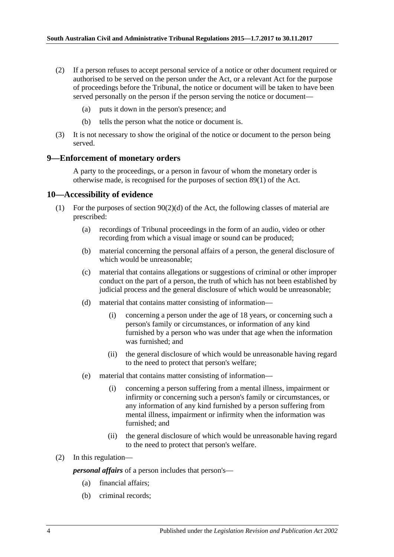- (2) If a person refuses to accept personal service of a notice or other document required or authorised to be served on the person under the Act, or a relevant Act for the purpose of proceedings before the Tribunal, the notice or document will be taken to have been served personally on the person if the person serving the notice or document—
	- (a) puts it down in the person's presence; and
	- (b) tells the person what the notice or document is.
- (3) It is not necessary to show the original of the notice or document to the person being served.

#### <span id="page-3-0"></span>**9—Enforcement of monetary orders**

A party to the proceedings, or a person in favour of whom the monetary order is otherwise made, is recognised for the purposes of section 89(1) of the Act.

#### <span id="page-3-1"></span>**10—Accessibility of evidence**

- (1) For the purposes of section 90(2)(d) of the Act, the following classes of material are prescribed:
	- (a) recordings of Tribunal proceedings in the form of an audio, video or other recording from which a visual image or sound can be produced;
	- (b) material concerning the personal affairs of a person, the general disclosure of which would be unreasonable;
	- (c) material that contains allegations or suggestions of criminal or other improper conduct on the part of a person, the truth of which has not been established by judicial process and the general disclosure of which would be unreasonable;
	- (d) material that contains matter consisting of information—
		- (i) concerning a person under the age of 18 years, or concerning such a person's family or circumstances, or information of any kind furnished by a person who was under that age when the information was furnished; and
		- (ii) the general disclosure of which would be unreasonable having regard to the need to protect that person's welfare;
	- (e) material that contains matter consisting of information—
		- (i) concerning a person suffering from a mental illness, impairment or infirmity or concerning such a person's family or circumstances, or any information of any kind furnished by a person suffering from mental illness, impairment or infirmity when the information was furnished; and
		- (ii) the general disclosure of which would be unreasonable having regard to the need to protect that person's welfare.

#### (2) In this regulation—

*personal affairs* of a person includes that person's—

- (a) financial affairs;
- (b) criminal records;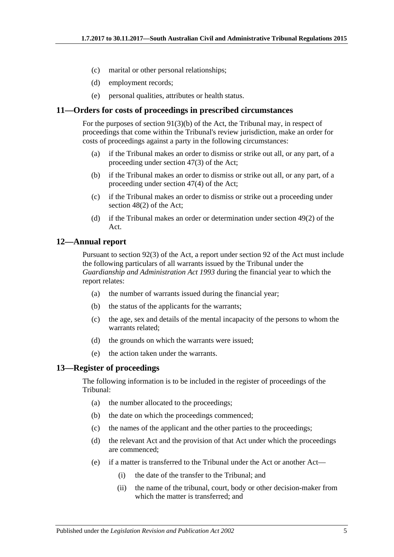- (c) marital or other personal relationships;
- (d) employment records;
- (e) personal qualities, attributes or health status.

#### <span id="page-4-0"></span>**11—Orders for costs of proceedings in prescribed circumstances**

For the purposes of section 91(3)(b) of the Act, the Tribunal may, in respect of proceedings that come within the Tribunal's review jurisdiction, make an order for costs of proceedings against a party in the following circumstances:

- (a) if the Tribunal makes an order to dismiss or strike out all, or any part, of a proceeding under section 47(3) of the Act;
- (b) if the Tribunal makes an order to dismiss or strike out all, or any part, of a proceeding under section 47(4) of the Act;
- (c) if the Tribunal makes an order to dismiss or strike out a proceeding under section 48(2) of the Act;
- (d) if the Tribunal makes an order or determination under section 49(2) of the Act.

#### <span id="page-4-1"></span>**12—Annual report**

Pursuant to section 92(3) of the Act, a report under section 92 of the Act must include the following particulars of all warrants issued by the Tribunal under the *[Guardianship and Administration Act](http://www.legislation.sa.gov.au/index.aspx?action=legref&type=act&legtitle=Guardianship%20and%20Administration%20Act%201993) 1993* during the financial year to which the report relates:

- (a) the number of warrants issued during the financial year;
- (b) the status of the applicants for the warrants;
- (c) the age, sex and details of the mental incapacity of the persons to whom the warrants related;
- (d) the grounds on which the warrants were issued;
- (e) the action taken under the warrants.

#### <span id="page-4-2"></span>**13—Register of proceedings**

The following information is to be included in the register of proceedings of the Tribunal:

- (a) the number allocated to the proceedings;
- (b) the date on which the proceedings commenced;
- (c) the names of the applicant and the other parties to the proceedings;
- (d) the relevant Act and the provision of that Act under which the proceedings are commenced;
- (e) if a matter is transferred to the Tribunal under the Act or another Act—
	- (i) the date of the transfer to the Tribunal; and
	- (ii) the name of the tribunal, court, body or other decision-maker from which the matter is transferred; and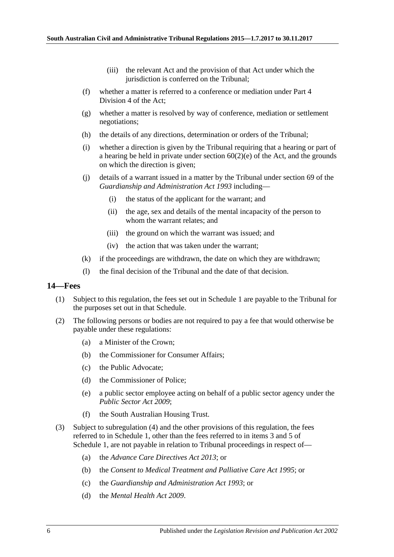- (iii) the relevant Act and the provision of that Act under which the jurisdiction is conferred on the Tribunal:
- (f) whether a matter is referred to a conference or mediation under Part 4 Division 4 of the Act;
- (g) whether a matter is resolved by way of conference, mediation or settlement negotiations;
- (h) the details of any directions, determination or orders of the Tribunal;
- (i) whether a direction is given by the Tribunal requiring that a hearing or part of a hearing be held in private under section  $60(2)(e)$  of the Act, and the grounds on which the direction is given;
- (j) details of a warrant issued in a matter by the Tribunal under section 69 of the *[Guardianship and Administration Act](http://www.legislation.sa.gov.au/index.aspx?action=legref&type=act&legtitle=Guardianship%20and%20Administration%20Act%201993) 1993* including—
	- (i) the status of the applicant for the warrant; and
	- (ii) the age, sex and details of the mental incapacity of the person to whom the warrant relates; and
	- (iii) the ground on which the warrant was issued; and
	- (iv) the action that was taken under the warrant;
- (k) if the proceedings are withdrawn, the date on which they are withdrawn;
- (l) the final decision of the Tribunal and the date of that decision.

#### <span id="page-5-0"></span>**14—Fees**

- (1) Subject to this regulation, the fees set out in [Schedule](#page-7-0) 1 are payable to the Tribunal for the purposes set out in that Schedule.
- (2) The following persons or bodies are not required to pay a fee that would otherwise be payable under these regulations:
	- (a) a Minister of the Crown;
	- (b) the Commissioner for Consumer Affairs;
	- (c) the Public Advocate;
	- (d) the Commissioner of Police;
	- (e) a public sector employee acting on behalf of a public sector agency under the *[Public Sector Act](http://www.legislation.sa.gov.au/index.aspx?action=legref&type=act&legtitle=Public%20Sector%20Act%202009) 2009*;
	- (f) the South Australian Housing Trust.
- <span id="page-5-1"></span>(3) Subject to [subregulation](#page-6-0) (4) and the other provisions of this regulation, the fees referred to in [Schedule](#page-7-0) 1, other than the fees referred to in items 3 and 5 of [Schedule](#page-7-0) 1, are not payable in relation to Tribunal proceedings in respect of—
	- (a) the *[Advance Care Directives Act](http://www.legislation.sa.gov.au/index.aspx?action=legref&type=act&legtitle=Advance%20Care%20Directives%20Act%202013) 2013*; or
	- (b) the *[Consent to Medical Treatment and Palliative Care Act](http://www.legislation.sa.gov.au/index.aspx?action=legref&type=act&legtitle=Consent%20to%20Medical%20Treatment%20and%20Palliative%20Care%20Act%201995) 1995*; or
	- (c) the *[Guardianship and Administration Act](http://www.legislation.sa.gov.au/index.aspx?action=legref&type=act&legtitle=Guardianship%20and%20Administration%20Act%201993) 1993*; or
	- (d) the *[Mental Health Act](http://www.legislation.sa.gov.au/index.aspx?action=legref&type=act&legtitle=Mental%20Health%20Act%202009) 2009*.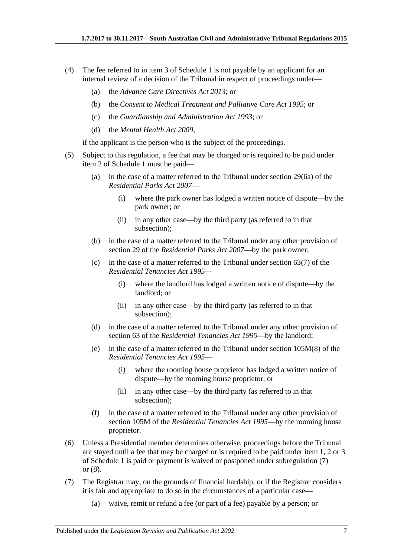- <span id="page-6-0"></span>(4) The fee referred to in item 3 of [Schedule](#page-7-0) 1 is not payable by an applicant for an internal review of a decision of the Tribunal in respect of proceedings under—
	- (a) the *[Advance Care Directives Act](http://www.legislation.sa.gov.au/index.aspx?action=legref&type=act&legtitle=Advance%20Care%20Directives%20Act%202013) 2013*; or
	- (b) the *[Consent to Medical Treatment and Palliative Care Act](http://www.legislation.sa.gov.au/index.aspx?action=legref&type=act&legtitle=Consent%20to%20Medical%20Treatment%20and%20Palliative%20Care%20Act%201995) 1995*; or
	- (c) the *[Guardianship and Administration Act](http://www.legislation.sa.gov.au/index.aspx?action=legref&type=act&legtitle=Guardianship%20and%20Administration%20Act%201993) 1993*; or
	- (d) the *[Mental Health Act](http://www.legislation.sa.gov.au/index.aspx?action=legref&type=act&legtitle=Mental%20Health%20Act%202009) 2009*,

if the applicant is the person who is the subject of the proceedings.

- (5) Subject to this regulation, a fee that may be charged or is required to be paid under item 2 of [Schedule](#page-7-0) 1 must be paid—
	- (a) in the case of a matter referred to the Tribunal under section 29(6a) of the *[Residential Parks Act](http://www.legislation.sa.gov.au/index.aspx?action=legref&type=act&legtitle=Residential%20Parks%20Act%202007) 2007*—
		- (i) where the park owner has lodged a written notice of dispute—by the park owner; or
		- (ii) in any other case—by the third party (as referred to in that subsection);
	- (b) in the case of a matter referred to the Tribunal under any other provision of section 29 of the *[Residential Parks Act](http://www.legislation.sa.gov.au/index.aspx?action=legref&type=act&legtitle=Residential%20Parks%20Act%202007) 2007*—by the park owner;
	- (c) in the case of a matter referred to the Tribunal under section 63(7) of the *[Residential Tenancies Act](http://www.legislation.sa.gov.au/index.aspx?action=legref&type=act&legtitle=Residential%20Tenancies%20Act%201995) 1995*—
		- (i) where the landlord has lodged a written notice of dispute—by the landlord; or
		- (ii) in any other case—by the third party (as referred to in that subsection);
	- (d) in the case of a matter referred to the Tribunal under any other provision of section 63 of the *[Residential Tenancies Act](http://www.legislation.sa.gov.au/index.aspx?action=legref&type=act&legtitle=Residential%20Tenancies%20Act%201995) 1995*—by the landlord;
	- (e) in the case of a matter referred to the Tribunal under section 105M(8) of the *[Residential Tenancies Act](http://www.legislation.sa.gov.au/index.aspx?action=legref&type=act&legtitle=Residential%20Tenancies%20Act%201995) 1995*—
		- (i) where the rooming house proprietor has lodged a written notice of dispute—by the rooming house proprietor; or
		- (ii) in any other case—by the third party (as referred to in that subsection);
	- (f) in the case of a matter referred to the Tribunal under any other provision of section 105M of the *[Residential Tenancies Act](http://www.legislation.sa.gov.au/index.aspx?action=legref&type=act&legtitle=Residential%20Tenancies%20Act%201995) 1995*—by the rooming house proprietor.
- (6) Unless a Presidential member determines otherwise, proceedings before the Tribunal are stayed until a fee that may be charged or is required to be paid under item 1, 2 or 3 of [Schedule](#page-7-0) 1 is paid or payment is waived or postponed under [subregulation](#page-6-1) (7) or [\(8\).](#page-7-1)
- <span id="page-6-1"></span>(7) The Registrar may, on the grounds of financial hardship, or if the Registrar considers it is fair and appropriate to do so in the circumstances of a particular case—
	- (a) waive, remit or refund a fee (or part of a fee) payable by a person; or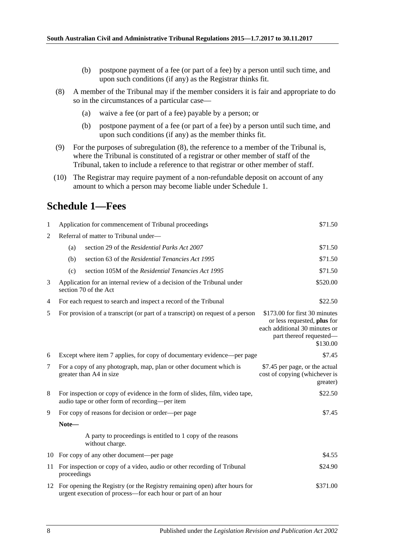- (b) postpone payment of a fee (or part of a fee) by a person until such time, and upon such conditions (if any) as the Registrar thinks fit.
- <span id="page-7-1"></span>(8) A member of the Tribunal may if the member considers it is fair and appropriate to do so in the circumstances of a particular case—
	- (a) waive a fee (or part of a fee) payable by a person; or
	- (b) postpone payment of a fee (or part of a fee) by a person until such time, and upon such conditions (if any) as the member thinks fit.
- (9) For the purposes of [subregulation](#page-7-1) (8), the reference to a member of the Tribunal is, where the Tribunal is constituted of a registrar or other member of staff of the Tribunal, taken to include a reference to that registrar or other member of staff.
- (10) The Registrar may require payment of a non-refundable deposit on account of any amount to which a person may become liable under [Schedule](#page-7-0) 1.

## <span id="page-7-0"></span>**Schedule 1—Fees**

| 1              |                                                                                                             | Application for commencement of Tribunal proceedings                                                                                         | \$71.50                                                                                                                              |
|----------------|-------------------------------------------------------------------------------------------------------------|----------------------------------------------------------------------------------------------------------------------------------------------|--------------------------------------------------------------------------------------------------------------------------------------|
| $\overline{2}$ |                                                                                                             | Referral of matter to Tribunal under-                                                                                                        |                                                                                                                                      |
|                | (a)                                                                                                         | section 29 of the Residential Parks Act 2007                                                                                                 | \$71.50                                                                                                                              |
|                | (b)                                                                                                         | section 63 of the Residential Tenancies Act 1995                                                                                             | \$71.50                                                                                                                              |
|                | (c)                                                                                                         | section 105M of the Residential Tenancies Act 1995                                                                                           | \$71.50                                                                                                                              |
| 3              | \$520.00<br>Application for an internal review of a decision of the Tribunal under<br>section 70 of the Act |                                                                                                                                              |                                                                                                                                      |
| 4              | For each request to search and inspect a record of the Tribunal                                             |                                                                                                                                              |                                                                                                                                      |
| 5              |                                                                                                             | For provision of a transcript (or part of a transcript) on request of a person                                                               | \$173.00 for first 30 minutes<br>or less requested, plus for<br>each additional 30 minutes or<br>part thereof requested-<br>\$130.00 |
| 6              | Except where item 7 applies, for copy of documentary evidence—per page                                      |                                                                                                                                              | \$7.45                                                                                                                               |
| 7              |                                                                                                             | For a copy of any photograph, map, plan or other document which is<br>greater than A4 in size                                                | \$7.45 per page, or the actual<br>cost of copying (whichever is<br>greater)                                                          |
| 8              |                                                                                                             | For inspection or copy of evidence in the form of slides, film, video tape,<br>audio tape or other form of recording-per item                | \$22.50                                                                                                                              |
| 9              |                                                                                                             | For copy of reasons for decision or order—per page                                                                                           | \$7.45                                                                                                                               |
|                | Note-                                                                                                       |                                                                                                                                              |                                                                                                                                      |
|                |                                                                                                             | A party to proceedings is entitled to 1 copy of the reasons<br>without charge.                                                               |                                                                                                                                      |
|                |                                                                                                             | 10 For copy of any other document—per page                                                                                                   | \$4.55                                                                                                                               |
| 11             | proceedings                                                                                                 | For inspection or copy of a video, audio or other recording of Tribunal                                                                      | \$24.90                                                                                                                              |
|                |                                                                                                             | 12 For opening the Registry (or the Registry remaining open) after hours for<br>urgent execution of process-for each hour or part of an hour | \$371.00                                                                                                                             |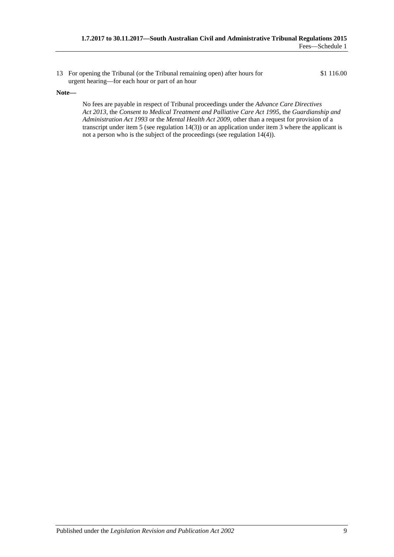13 For opening the Tribunal (or the Tribunal remaining open) after hours for urgent hearing—for each hour or part of an hour

#### **Note—**

No fees are payable in respect of Tribunal proceedings under the *[Advance Care Directives](http://www.legislation.sa.gov.au/index.aspx?action=legref&type=act&legtitle=Advance%20Care%20Directives%20Act%202013)  Act [2013](http://www.legislation.sa.gov.au/index.aspx?action=legref&type=act&legtitle=Advance%20Care%20Directives%20Act%202013)*, the *[Consent to Medical Treatment and Palliative Care Act](http://www.legislation.sa.gov.au/index.aspx?action=legref&type=act&legtitle=Consent%20to%20Medical%20Treatment%20and%20Palliative%20Care%20Act%201995) 1995*, the *[Guardianship and](http://www.legislation.sa.gov.au/index.aspx?action=legref&type=act&legtitle=Guardianship%20and%20Administration%20Act%201993)  [Administration Act](http://www.legislation.sa.gov.au/index.aspx?action=legref&type=act&legtitle=Guardianship%20and%20Administration%20Act%201993) 1993* or the *[Mental Health Act](http://www.legislation.sa.gov.au/index.aspx?action=legref&type=act&legtitle=Mental%20Health%20Act%202009) 2009*, other than a request for provision of a transcript under item 5 (se[e regulation](#page-5-1) 14(3)) or an application under item 3 where the applicant is not a person who is the subject of the proceedings (se[e regulation](#page-6-0) 14(4)).

\$1 116.00